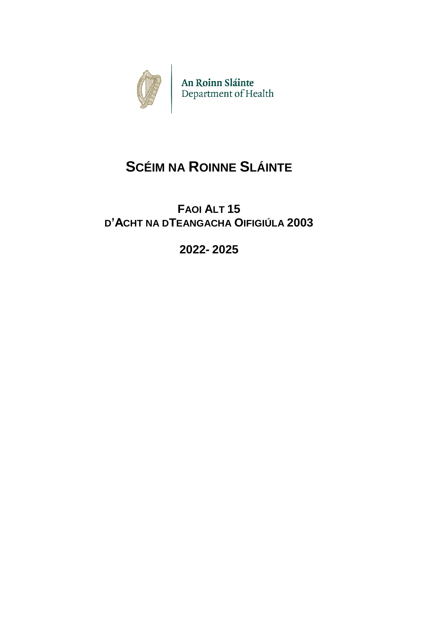

An Roinn Sláinte<br>Department of Health

# **SCÉIM NA ROINNE SLÁINTE**

## **FAOI ALT 15 D'ACHT NA DTEANGACHA OIFIGIÚLA 2003**

**2022- 2025**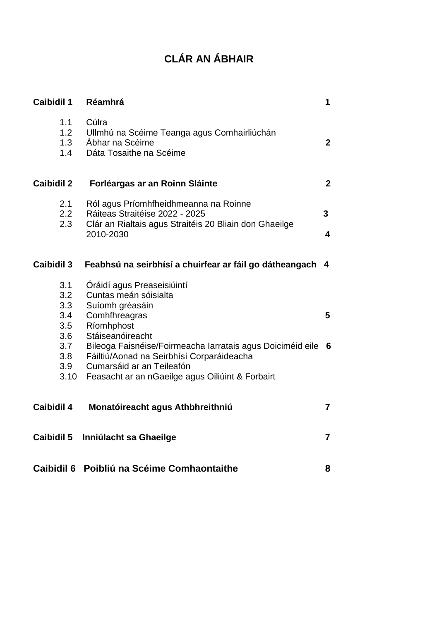## **CLÁR AN ÁBHAIR**

| <b>Caibidil 1</b>                                                   | Réamhrá                                                                                                                                                                                                                                                                                                                 | 1                                         |
|---------------------------------------------------------------------|-------------------------------------------------------------------------------------------------------------------------------------------------------------------------------------------------------------------------------------------------------------------------------------------------------------------------|-------------------------------------------|
| 1.1<br>1.2<br>1.3<br>1.4                                            | Cúlra<br>Ullmhú na Scéime Teanga agus Comhairliúchán<br>Ábhar na Scéime<br>Dáta Tosaithe na Scéime                                                                                                                                                                                                                      | $\overline{2}$                            |
| <b>Caibidil 2</b>                                                   | Forléargas ar an Roinn Sláinte                                                                                                                                                                                                                                                                                          | $\overline{2}$                            |
| 2.1<br>2.2 <sub>2</sub><br>2.3                                      | Ról agus Príomhfheidhmeanna na Roinne<br>Ráiteas Straitéise 2022 - 2025<br>Clár an Rialtais agus Straitéis 20 Bliain don Ghaeilge<br>2010-2030                                                                                                                                                                          | 3 <sup>1</sup><br>$\overline{\mathbf{4}}$ |
| <b>Caibidil 3</b>                                                   | Feabhsú na seirbhísí a chuirfear ar fáil go dátheangach                                                                                                                                                                                                                                                                 | $\overline{\mathbf{4}}$                   |
| 3.1<br>3.2<br>3.3<br>3.4<br>3.5<br>3.6<br>3.7<br>3.8<br>3.9<br>3.10 | Oráidí agus Preaseisiúintí<br>Cuntas meán sóisialta<br>Suíomh gréasáin<br>Comhfhreagras<br>Ríomhphost<br>Stáiseanóireacht<br>Bileoga Faisnéise/Foirmeacha Iarratais agus Doiciméid eile 6<br>Fáiltiú/Aonad na Seirbhísí Corparáideacha<br>Cumarsáid ar an Teileafón<br>Feasacht ar an nGaeilge agus Oiliúint & Forbairt | 5                                         |
| <b>Caibidil 4</b>                                                   | Monatóireacht agus Athbhreithniú                                                                                                                                                                                                                                                                                        | $\overline{7}$                            |
| <b>Caibidil 5</b>                                                   | Inniúlacht sa Ghaeilge                                                                                                                                                                                                                                                                                                  | $\overline{7}$                            |
|                                                                     | Caibidil 6 Poibliú na Scéime Comhaontaithe                                                                                                                                                                                                                                                                              | 8                                         |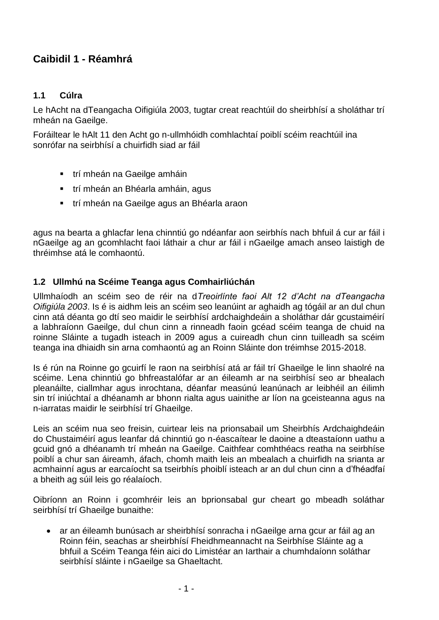## **Caibidil 1 - Réamhrá**

#### **1.1 Cúlra**

Le hAcht na dTeangacha Oifigiúla 2003, tugtar creat reachtúil do sheirbhísí a sholáthar trí mheán na Gaeilge.

Foráiltear le hAlt 11 den Acht go n-ullmhóidh comhlachtaí poiblí scéim reachtúil ina sonrófar na seirbhísí a chuirfidh siad ar fáil

- trí mheán na Gaeilge amháin
- trí mheán an Bhéarla amháin, agus
- trí mheán na Gaeilge agus an Bhéarla araon

agus na bearta a ghlacfar lena chinntiú go ndéanfar aon seirbhís nach bhfuil á cur ar fáil i nGaeilge ag an gcomhlacht faoi láthair a chur ar fáil i nGaeilge amach anseo laistigh de thréimhse atá le comhaontú.

#### **1.2 Ullmhú na Scéime Teanga agus Comhairliúchán**

Ullmhaíodh an scéim seo de réir na d*Treoirlínte faoi Alt 12 d'Acht na dTeangacha Oifigiúla 2003*. Is é is aidhm leis an scéim seo leanúint ar aghaidh ag tógáil ar an dul chun cinn atá déanta go dtí seo maidir le seirbhísí ardchaighdeáin a sholáthar dár gcustaiméirí a labhraíonn Gaeilge, dul chun cinn a rinneadh faoin gcéad scéim teanga de chuid na roinne Sláinte a tugadh isteach in 2009 agus a cuireadh chun cinn tuilleadh sa scéim teanga ina dhiaidh sin arna comhaontú ag an Roinn Sláinte don tréimhse 2015-2018.

Is é rún na Roinne go gcuirfí le raon na seirbhísí atá ar fáil trí Ghaeilge le linn shaolré na scéime. Lena chinntiú go bhfreastalófar ar an éileamh ar na seirbhísí seo ar bhealach pleanáilte, ciallmhar agus inrochtana, déanfar measúnú leanúnach ar leibhéil an éilimh sin trí iniúchtaí a dhéanamh ar bhonn rialta agus uainithe ar líon na gceisteanna agus na n-iarratas maidir le seirbhísí trí Ghaeilge.

Leis an scéim nua seo freisin, cuirtear leis na prionsabail um Sheirbhís Ardchaighdeáin do Chustaiméirí agus leanfar dá chinntiú go n-éascaítear le daoine a dteastaíonn uathu a gcuid gnó a dhéanamh trí mheán na Gaeilge. Caithfear comhthéacs reatha na seirbhíse poiblí a chur san áireamh, áfach, chomh maith leis an mbealach a chuirfidh na srianta ar acmhainní agus ar earcaíocht sa tseirbhís phoiblí isteach ar an dul chun cinn a d'fhéadfaí a bheith ag súil leis go réalaíoch.

Oibríonn an Roinn i gcomhréir leis an bprionsabal gur cheart go mbeadh soláthar seirbhísí trí Ghaeilge bunaithe:

 ar an éileamh bunúsach ar sheirbhísí sonracha i nGaeilge arna gcur ar fáil ag an Roinn féin, seachas ar sheirbhísí Fheidhmeannacht na Seirbhíse Sláinte ag a bhfuil a Scéim Teanga féin aici do Limistéar an Iarthair a chumhdaíonn soláthar seirbhísí sláinte i nGaeilge sa Ghaeltacht.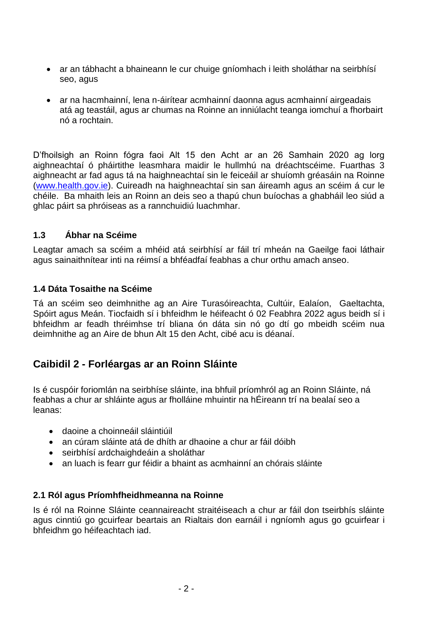- ar an tábhacht a bhaineann le cur chuige gníomhach i leith sholáthar na seirbhísí seo, agus
- ar na hacmhainní, lena n-áirítear acmhainní daonna agus acmhainní airgeadais atá ag teastáil, agus ar chumas na Roinne an inniúlacht teanga iomchuí a fhorbairt nó a rochtain.

D'fhoilsigh an Roinn fógra faoi Alt 15 den Acht ar an 26 Samhain 2020 ag lorg aighneachtaí ó pháirtithe leasmhara maidir le hullmhú na dréachtscéime. Fuarthas 3 aighneacht ar fad agus tá na haighneachtaí sin le feiceáil ar shuíomh gréasáin na Roinne (www.health.gov.ie). Cuireadh na haighneachtaí sin san áireamh agus an scéim á cur le chéile. Ba mhaith leis an Roinn an deis seo a thapú chun buíochas a ghabháil leo siúd a ghlac páirt sa phróiseas as a rannchuidiú luachmhar.

#### **1.3 Ábhar na Scéime**

Leagtar amach sa scéim a mhéid atá seirbhísí ar fáil trí mheán na Gaeilge faoi láthair agus sainaithnítear inti na réimsí a bhféadfaí feabhas a chur orthu amach anseo.

#### **1.4 Dáta Tosaithe na Scéime**

Tá an scéim seo deimhnithe ag an Aire Turasóireachta, Cultúir, Ealaíon, Gaeltachta, Spóirt agus Meán. Tiocfaidh sí i bhfeidhm le héifeacht ó 02 Feabhra 2022 agus beidh sí i bhfeidhm ar feadh thréimhse trí bliana ón dáta sin nó go dtí go mbeidh scéim nua deimhnithe ag an Aire de bhun Alt 15 den Acht, cibé acu is déanaí.

## **Caibidil 2 - Forléargas ar an Roinn Sláinte**

Is é cuspóir foriomlán na seirbhíse sláinte, ina bhfuil príomhról ag an Roinn Sláinte, ná feabhas a chur ar shláinte agus ar fholláine mhuintir na hÉireann trí na bealaí seo a leanas:

- daoine a choinneáil sláintiúil
- an cúram sláinte atá de dhíth ar dhaoine a chur ar fáil dóibh
- seirbhísí ardchaighdeáin a sholáthar
- an luach is fearr gur féidir a bhaint as acmhainní an chórais sláinte

#### **2.1 Ról agus Príomhfheidhmeanna na Roinne**

Is é ról na Roinne Sláinte ceannaireacht straitéiseach a chur ar fáil don tseirbhís sláinte agus cinntiú go gcuirfear beartais an Rialtais don earnáil i ngníomh agus go gcuirfear i bhfeidhm go héifeachtach iad.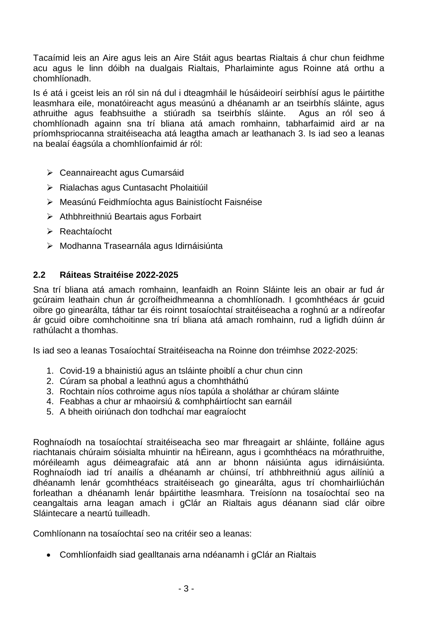Tacaímid leis an Aire agus leis an Aire Stáit agus beartas Rialtais á chur chun feidhme acu agus le linn dóibh na dualgais Rialtais, Pharlaiminte agus Roinne atá orthu a chomhlíonadh.

Is é atá i gceist leis an ról sin ná dul i dteagmháil le húsáideoirí seirbhísí agus le páirtithe leasmhara eile, monatóireacht agus measúnú a dhéanamh ar an tseirbhís sláinte, agus athruithe agus feabhsuithe a stiúradh sa tseirbhís sláinte. Agus an ról seo á chomhlíonadh againn sna trí bliana atá amach romhainn, tabharfaimid aird ar na príomhspriocanna straitéiseacha atá leagtha amach ar leathanach 3. Is iad seo a leanas na bealaí éagsúla a chomhlíonfaimid ár ról:

- Ceannaireacht agus Cumarsáid
- ▶ Rialachas agus Cuntasacht Pholaitiúil
- Measúnú Feidhmíochta agus Bainistíocht Faisnéise
- **EXEC** Athbhreithniú Beartais agus Forbairt
- Reachtaíocht
- Modhanna Trasearnála agus Idirnáisiúnta

#### **2.2 Ráiteas Straitéise 2022-2025**

Sna trí bliana atá amach romhainn, leanfaidh an Roinn Sláinte leis an obair ar fud ár gcúraim leathain chun ár gcroífheidhmeanna a chomhlíonadh. I gcomhthéacs ár gcuid oibre go ginearálta, táthar tar éis roinnt tosaíochtaí straitéiseacha a roghnú ar a ndíreofar ár gcuid oibre comhchoitinne sna trí bliana atá amach romhainn, rud a ligfidh dúinn ár rathúlacht a thomhas.

Is iad seo a leanas Tosaíochtaí Straitéiseacha na Roinne don tréimhse 2022-2025:

- 1. Covid-19 a bhainistiú agus an tsláinte phoiblí a chur chun cinn
- 2. Cúram sa phobal a leathnú agus a chomhtháthú
- 3. Rochtain níos cothroime agus níos tapúla a sholáthar ar chúram sláinte
- 4. Feabhas a chur ar mhaoirsiú & comhpháirtíocht san earnáil
- 5. A bheith oiriúnach don todhchaí mar eagraíocht

Roghnaíodh na tosaíochtaí straitéiseacha seo mar fhreagairt ar shláinte, folláine agus riachtanais chúraim sóisialta mhuintir na hÉireann, agus i gcomhthéacs na mórathruithe, móréileamh agus déimeagrafaic atá ann ar bhonn náisiúnta agus idirnáisiúnta. Roghnaíodh iad trí anailís a dhéanamh ar chúinsí, trí athbhreithniú agus ailíniú a dhéanamh lenár gcomhthéacs straitéiseach go ginearálta, agus trí chomhairliúchán forleathan a dhéanamh lenár bpáirtithe leasmhara. Treisíonn na tosaíochtaí seo na ceangaltais arna leagan amach i gClár an Rialtais agus déanann siad clár oibre Sláintecare a neartú tuilleadh.

Comhlíonann na tosaíochtaí seo na critéir seo a leanas:

Comhlíonfaidh siad gealltanais arna ndéanamh i gClár an Rialtais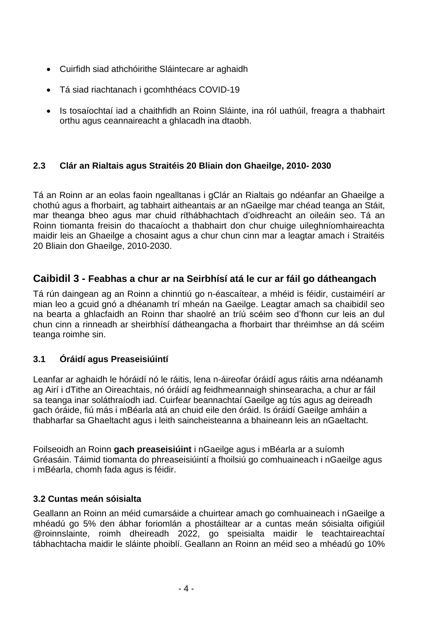- Cuirfidh siad athchóirithe Sláintecare ar aghaidh
- Tá siad riachtanach i gcomhthéacs COVID-19
- Is tosaíochtaí iad a chaithfidh an Roinn Sláinte, ina ról uathúil, freagra a thabhairt orthu agus ceannaireacht a ghlacadh ina dtaobh.

#### **2.3 Clár an Rialtais agus Straitéis 20 Bliain don Ghaeilge, 2010- 2030**

Tá an Roinn ar an eolas faoin ngealltanas i gClár an Rialtais go ndéanfar an Ghaeilge a chothú agus a fhorbairt, ag tabhairt aitheantais ar an nGaeilge mar chéad teanga an Stáit, mar theanga bheo agus mar chuid ríthábhachtach d'oidhreacht an oileáin seo. Tá an Roinn tiomanta freisin do thacaíocht a thabhairt don chur chuige uileghníomhaireachta maidir leis an Ghaeilge a chosaint agus a chur chun cinn mar a leagtar amach i Straitéis 20 Bliain don Ghaeilge, 2010-2030.

#### **Caibidil 3 - Feabhas a chur ar na Seirbhísí atá le cur ar fáil go dátheangach**

Tá rún daingean ag an Roinn a chinntiú go n-éascaítear, a mhéid is féidir, custaiméirí ar mian leo a gcuid gnó a dhéanamh trí mheán na Gaeilge. Leagtar amach sa chaibidil seo na bearta a ghlacfaidh an Roinn thar shaolré an tríú scéim seo d'fhonn cur leis an dul chun cinn a rinneadh ar sheirbhísí dátheangacha a fhorbairt thar thréimhse an dá scéim teanga roimhe sin.

#### **3.1 Óráidí agus Preaseisiúintí**

Leanfar ar aghaidh le hóráidí nó le ráitis, lena n-áireofar óráidí agus ráitis arna ndéanamh ag Airí i dTithe an Oireachtais, nó óráidí ag feidhmeannaigh shinsearacha, a chur ar fáil sa teanga inar soláthraíodh iad. Cuirfear beannachtaí Gaeilge ag tús agus ag deireadh gach óráide, fiú más i mBéarla atá an chuid eile den óráid. Is óráidí Gaeilge amháin a thabharfar sa Ghaeltacht agus i leith saincheisteanna a bhaineann leis an nGaeltacht.

Foilseoidh an Roinn **gach preaseisiúint** i nGaeilge agus i mBéarla ar a suíomh Gréasáin. Táimid tiomanta do phreaseisiúintí a fhoilsiú go comhuaineach i nGaeilge agus i mBéarla, chomh fada agus is féidir.

#### **3.2 Cuntas meán sóisialta**

Geallann an Roinn an méid cumarsáide a chuirtear amach go comhuaineach i nGaeilge a mhéadú go 5% den ábhar foriomlán a phostáiltear ar a cuntas meán sóisialta oifigiúil @roinnslainte, roimh dheireadh 2022, go speisialta maidir le teachtaireachtaí tábhachtacha maidir le sláinte phoiblí. Geallann an Roinn an méid seo a mhéadú go 10%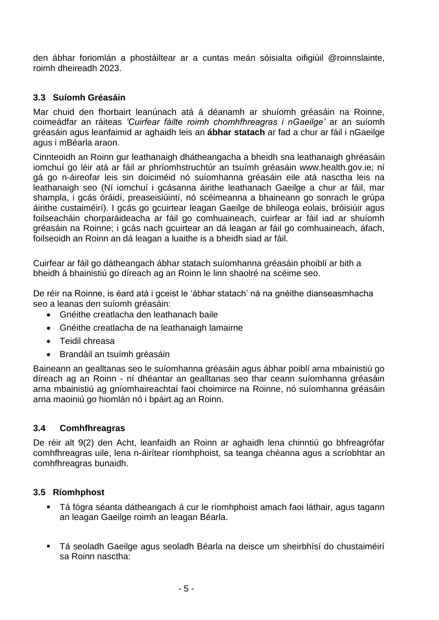den ábhar foriomlán a phostáiltear ar a cuntas meán sóisialta oifigiúil @roinnslainte, roimh dheireadh 2023.

#### **3.3 Suíomh Gréasáin**

Mar chuid den fhorbairt leanúnach atá á déanamh ar shuíomh gréasáin na Roinne, coimeádfar an ráiteas *'Cuirfear fáilte roimh chomhfhreagras i nGaeilge'* ar an suíomh gréasáin agus leanfaimid ar aghaidh leis an **ábhar statach** ar fad a chur ar fáil i nGaeilge agus i mBéarla araon.

Cinnteoidh an Roinn gur leathanaigh dhátheangacha a bheidh sna leathanaigh ghréasáin iomchuí go léir atá ar fáil ar phríomhstruchtúr an tsuímh gréasáin www.health.gov.ie; ní gá go n-áireofar leis sin doiciméid nó suíomhanna gréasáin eile atá nasctha leis na leathanaigh seo (Ní iomchuí i gcásanna áirithe leathanach Gaeilge a chur ar fáil, mar shampla, i gcás óráidí, preaseisiúintí, nó scéimeanna a bhaineann go sonrach le grúpa áirithe custaiméirí). I gcás go gcuirtear leagan Gaeilge de bhileoga eolais, bróisiúir agus foilseacháin chorparáideacha ar fáil go comhuaineach, cuirfear ar fáil iad ar shuíomh gréasáin na Roinne; i gcás nach gcuirtear an dá leagan ar fáil go comhuaineach, áfach, foilseoidh an Roinn an dá leagan a luaithe is a bheidh siad ar fáil.

Cuirfear ar fáil go dátheangach ábhar statach suíomhanna gréasáin phoiblí ar bith a bheidh á bhainistiú go díreach ag an Roinn le linn shaolré na scéime seo.

De réir na Roinne, is éard atá i gceist le 'ábhar statach' ná na gnéithe dianseasmhacha seo a leanas den suíomh gréasáin:

- Gnéithe creatlacha den leathanach baile
- Gnéithe creatlacha de na leathanaigh lamairne
- Teidil chreasa
- Brandáil an tsuímh gréasáin

Baineann an gealltanas seo le suíomhanna gréasáin agus ábhar poiblí arna mbainistiú go díreach ag an Roinn - ní dhéantar an gealltanas seo thar ceann suíomhanna gréasáin arna mbainistiú ag gníomhaireachtaí faoi choimirce na Roinne, nó suíomhanna gréasáin arna maoiniú go hiomlán nó i bpáirt ag an Roinn.

#### **3.4 Comhfhreagras**

De réir alt 9(2) den Acht, leanfaidh an Roinn ar aghaidh lena chinntiú go bhfreagrófar comhfhreagras uile, lena n-áirítear ríomhphoist, sa teanga chéanna agus a scríobhtar an comhfhreagras bunaidh.

#### **3.5 Ríomhphost**

- Tá fógra séanta dátheangach á cur le ríomhphoist amach faoi láthair, agus tagann an leagan Gaeilge roimh an leagan Béarla.
- Tá seoladh Gaeilge agus seoladh Béarla na deisce um sheirbhísí do chustaiméirí sa Roinn nasctha: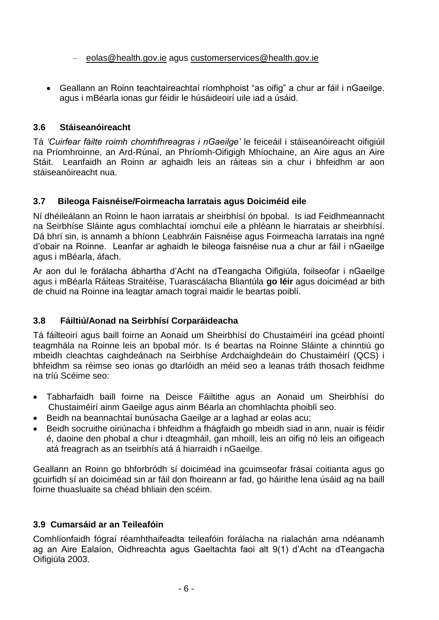#### – eolas@health.gov.ie agus customerservices@health.gov.ie

 Geallann an Roinn teachtaireachtaí ríomhphoist "as oifig" a chur ar fáil i nGaeilge. agus i mBéarla ionas gur féidir le húsáideoirí uile iad a úsáid.

#### **3.6 Stáiseanóireacht**

Tá *'Cuirfear fáilte roimh chomhfhreagras i nGaeilge'* le feiceáil i stáiseanóireacht oifigiúil na Príomhroinne, an Ard-Rúnaí, an Phríomh-Oifigigh Mhíochaine, an Aire agus an Aire Stáit. Leanfaidh an Roinn ar aghaidh leis an ráiteas sin a chur i bhfeidhm ar aon stáiseanóireacht nua.

#### **3.7 Bileoga Faisnéise/Foirmeacha Iarratais agus Doiciméid eile**

Ní dhéileálann an Roinn le haon iarratais ar sheirbhísí ón bpobal. Is iad Feidhmeannacht na Seirbhíse Sláinte agus comhlachtaí iomchuí eile a phléann le hiarratais ar sheirbhísí. Dá bhrí sin, is annamh a bhíonn Leabhráin Faisnéise agus Foirmeacha Iarratais ina ngné d'obair na Roinne. Leanfar ar aghaidh le bileoga faisnéise nua a chur ar fáil i nGaeilge agus i mBéarla, áfach.

Ar aon dul le forálacha ábhartha d'Acht na dTeangacha Oifigiúla, foilseofar i nGaeilge agus i mBéarla Ráiteas Straitéise, Tuarascálacha Bliantúla **go léir** agus doiciméad ar bith de chuid na Roinne ina leagtar amach tograí maidir le beartas poiblí.

#### **3.8 Fáiltiú/Aonad na Seirbhísí Corparáideacha**

Tá fáilteoirí agus baill foirne an Aonaid um Sheirbhísí do Chustaiméirí ina gcéad phointí teagmhála na Roinne leis an bpobal mór. Is é beartas na Roinne Sláinte a chinntiú go mbeidh cleachtas caighdeánach na Seirbhíse Ardchaighdeáin do Chustaiméirí (QCS) i bhfeidhm sa réimse seo ionas go dtarlóidh an méid seo a leanas tráth thosach feidhme na tríú Scéime seo:

- Tabharfaidh baill foirne na Deisce Fáiltithe agus an Aonaid um Sheirbhísí do Chustaiméirí ainm Gaeilge agus ainm Béarla an chomhlachta phoiblí seo.
- Beidh na beannachtaí bunúsacha Gaeilge ar a laghad ar eolas acu;
- Beidh socruithe oiriúnacha i bhfeidhm a fhágfaidh go mbeidh siad in ann, nuair is féidir é, daoine den phobal a chur i dteagmháil, gan mhoill, leis an oifig nó leis an oifigeach atá freagrach as an tseirbhís atá á hiarraidh i nGaeilge.

Geallann an Roinn go bhforbródh sí doiciméad ina gcuimseofar frásaí coitianta agus go gcuirfidh sí an doiciméad sin ar fáil don fhoireann ar fad, go háirithe lena úsáid ag na baill foirne thuasluaite sa chéad bhliain den scéim.

#### **3.9 Cumarsáid ar an Teileafóin**

Comhlíonfaidh fógraí réamhthaifeadta teileafóin forálacha na rialachán arna ndéanamh ag an Aire Ealaíon, Oidhreachta agus Gaeltachta faoi alt 9(1) d'Acht na dTeangacha Oifigiúla 2003.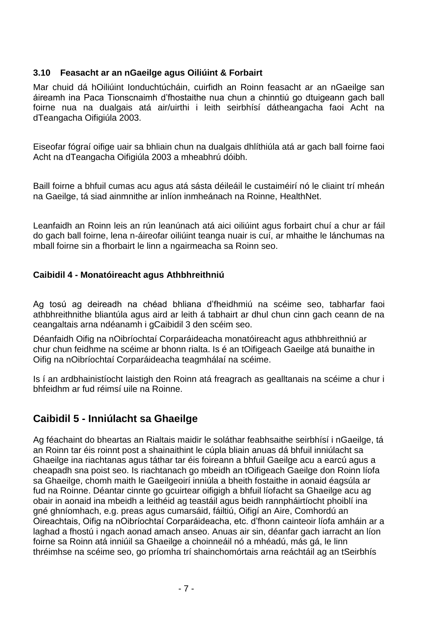#### **3.10 Feasacht ar an nGaeilge agus Oiliúint & Forbairt**

Mar chuid dá hOiliúint Ionduchtúcháin, cuirfidh an Roinn feasacht ar an nGaeilge san áireamh ina Paca Tionscnaimh d'fhostaithe nua chun a chinntiú go dtuigeann gach ball foirne nua na dualgais atá air/uirthi i leith seirbhísí dátheangacha faoi Acht na dTeangacha Oifigiúla 2003.

Eiseofar fógraí oifige uair sa bhliain chun na dualgais dhlíthiúla atá ar gach ball foirne faoi Acht na dTeangacha Oifigiúla 2003 a mheabhrú dóibh.

Baill foirne a bhfuil cumas acu agus atá sásta déileáil le custaiméirí nó le cliaint trí mheán na Gaeilge, tá siad ainmnithe ar inlíon inmheánach na Roinne, HealthNet.

Leanfaidh an Roinn leis an rún leanúnach atá aici oiliúint agus forbairt chuí a chur ar fáil do gach ball foirne, lena n-áireofar oiliúint teanga nuair is cuí, ar mhaithe le lánchumas na mball foirne sin a fhorbairt le linn a ngairmeacha sa Roinn seo.

#### **Caibidil 4 - Monatóireacht agus Athbhreithniú**

Ag tosú ag deireadh na chéad bhliana d'fheidhmiú na scéime seo, tabharfar faoi athbhreithnithe bliantúla agus aird ar leith á tabhairt ar dhul chun cinn gach ceann de na ceangaltais arna ndéanamh i gCaibidil 3 den scéim seo.

Déanfaidh Oifig na nOibríochtaí Corparáideacha monatóireacht agus athbhreithniú ar chur chun feidhme na scéime ar bhonn rialta. Is é an tOifigeach Gaeilge atá bunaithe in Oifig na nOibríochtaí Corparáideacha teagmhálaí na scéime.

Is í an ardbhainistíocht laistigh den Roinn atá freagrach as gealltanais na scéime a chur i bhfeidhm ar fud réimsí uile na Roinne.

## **Caibidil 5 - Inniúlacht sa Ghaeilge**

Ag féachaint do bheartas an Rialtais maidir le soláthar feabhsaithe seirbhísí i nGaeilge, tá an Roinn tar éis roinnt post a shainaithint le cúpla bliain anuas dá bhfuil inniúlacht sa Ghaeilge ina riachtanas agus táthar tar éis foireann a bhfuil Gaeilge acu a earcú agus a cheapadh sna poist seo. Is riachtanach go mbeidh an tOifigeach Gaeilge don Roinn líofa sa Ghaeilge, chomh maith le Gaeilgeoirí inniúla a bheith fostaithe in aonaid éagsúla ar fud na Roinne. Déantar cinnte go gcuirtear oifigigh a bhfuil líofacht sa Ghaeilge acu ag obair in aonaid ina mbeidh a leithéid ag teastáil agus beidh rannpháirtíocht phoiblí ina gné ghníomhach, e.g. preas agus cumarsáid, fáiltiú, Oifigí an Aire, Comhordú an Oireachtais, Oifig na nOibríochtaí Corparáideacha, etc. d'fhonn cainteoir líofa amháin ar a laghad a fhostú i ngach aonad amach anseo. Anuas air sin, déanfar gach iarracht an líon foirne sa Roinn atá inniúil sa Ghaeilge a choinneáil nó a mhéadú, más gá, le linn thréimhse na scéime seo, go príomha trí shainchomórtais arna reáchtáil ag an tSeirbhís